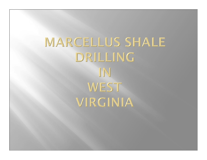**MARCELLUS SHALE** DRILLING IN WEST VIRGINIA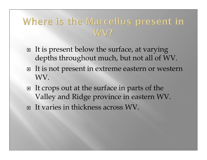# Where is the Marcellus present in  $W<sub>2</sub>$

- □ It is present below the surface, at varying depths throughout much, but not all of WV.
- □ It is not present in extreme eastern or western WV.
- □ It crops out at the surface in parts of the Valley and Ridge province in eastern WV. □ It varies in thickness across WV.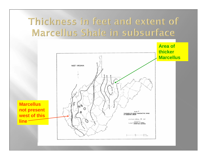## Thickness in feet and extent of Marcellus Shale in subsurface

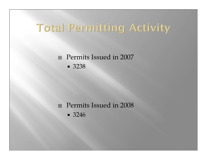# Total Permitting Activity

#### Permits Issued in 2007 3238

#### Permits Issued in 2008

3246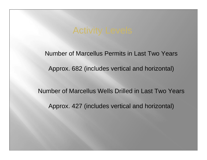Number of Marcellus Permits in Last Two Years

Approx. 682 (includes vertical and horizontal)

Number of Marcellus Wells Drilled in Last Two YearsApprox. 427 (includes vertical and horizontal)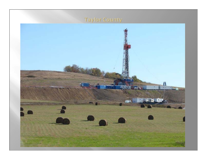### **Taylor County**

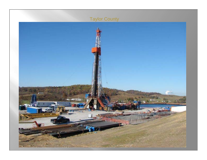#### Taylor County

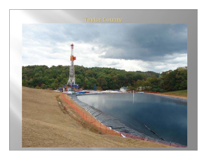### **Taylor County**

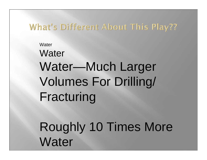### What's Different About This Play??

# **Water Water** Water—Much Larger Volumes For Drilling/ Fracturing

Roughly 10 Times More **Water**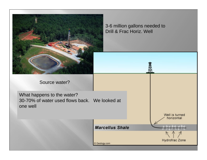

3-6 million gallons needed to Drill & Frac Horiz. Well

Source water?

What happens to the water? 30-70% of water used flows back. We looked at one well

Geology.com

Well is turned horizontal

**Marcellus Shale** 

Hydrofrac Zone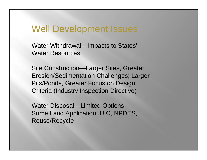### Well Development Issues

Water Withdrawal—Impacts to States' Water Resources

Site Construction—Larger Sites, Greater Erosion/Sedimentation Challenges; Larger Pits/Ponds, Greater Focus on Design Criteria (Industry Inspection Directive)

Water Disposal—Limited Options; Some Land Application, UIC, NPDES, Reuse/Recycle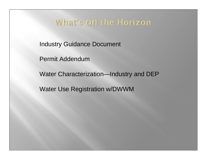### What's on the Horizon

Industry Guidance Document

Permit Addendum

Water Characterization—Industry and DEP

Water Use Registration w/DWWM